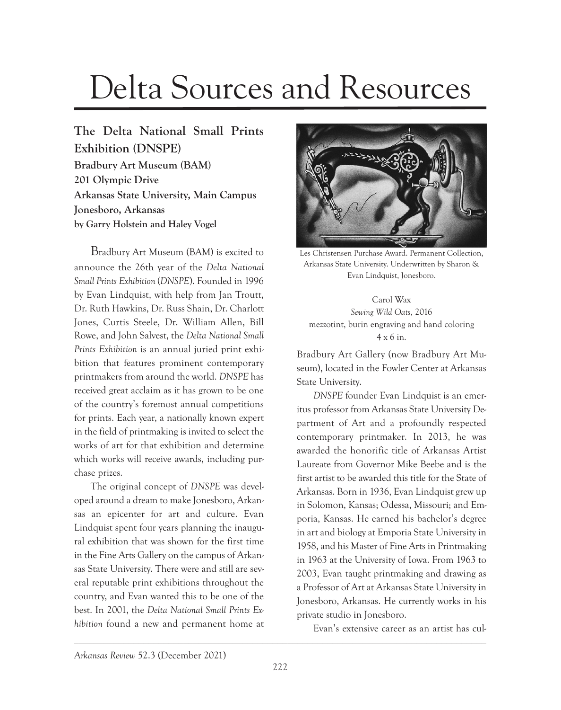## Delta Sources and Resources

**The Delta National Small Prints Exhibition (DNSPE) Bradbury Art Museum (BAM) 201 Olympic Drive Arkansas State University, Main Campus Jonesboro, Arkansas by Garry Holstein and Haley Vogel**

Bradbury Art Museum (BAM) is excited to announce the 26th year of the *Delta National Small Prints Exhibition* (*DNSPE*). Founded in 1996 by Evan Lindquist, with help from Jan Troutt, Dr. Ruth Hawkins, Dr. Russ Shain, Dr. Charlott Jones, Curtis Steele, Dr. William Allen, Bill Rowe, and John Salvest, the *Delta National Small Prints Exhibition* is an annual juried print exhibition that features prominent contemporary printmakers from around the world. *DNSPE* has received great acclaim as it has grown to be one of the country's foremost annual competitions for prints. Each year, a nationally known expert in the field of printmaking is invited to select the works of art for that exhibition and determine which works will receive awards, including purchase prizes.

The original concept of *DNSPE* was developed around a dream to make Jonesboro, Arkansas an epicenter for art and culture. Evan Lindquist spent four years planning the inaugural exhibition that was shown for the first time in the Fine Arts Gallery on the campus of Arkansas State University. There were and still are several reputable print exhibitions throughout the country, and Evan wanted this to be one of the best. In 2001, the *Delta National Small Prints Exhibition* found a new and permanent home at



Les Christensen Purchase Award. Permanent Collection, Arkansas State University. Underwritten by Sharon & Evan Lindquist, Jonesboro.

Carol Wax *Sewing Wild Oats*, 2016 mezzotint, burin engraving and hand coloring 4 x 6 in.

Bradbury Art Gallery (now Bradbury Art Museum), located in the Fowler Center at Arkansas State University.

*DNSPE* founder Evan Lindquist is an emeritus professor from Arkansas State University Department of Art and a profoundly respected contemporary printmaker. In 2013, he was awarded the honorific title of Arkansas Artist Laureate from Governor Mike Beebe and is the first artist to be awarded this title for the State of Arkansas. Born in 1936, Evan Lindquist grew up in Solomon, Kansas; Odessa, Missouri; and Emporia, Kansas. He earned his bachelor's degree in art and biology at Emporia State University in 1958, and his Master of Fine Arts in Printmaking in 1963 at the University of Iowa. From 1963 to 2003, Evan taught printmaking and drawing as a Professor of Art at Arkansas State University in Jonesboro, Arkansas. He currently works in his private studio in Jonesboro.

Evan's extensive career as an artist has cul-

\_\_\_\_\_\_\_\_\_\_\_\_\_\_\_\_\_\_\_\_\_\_\_\_\_\_\_\_\_\_\_\_\_\_\_\_\_\_\_\_\_\_\_\_\_\_\_\_\_\_\_\_\_\_\_\_\_\_\_\_\_\_\_\_\_\_\_\_\_\_\_\_\_\_\_\_\_\_\_\_\_\_\_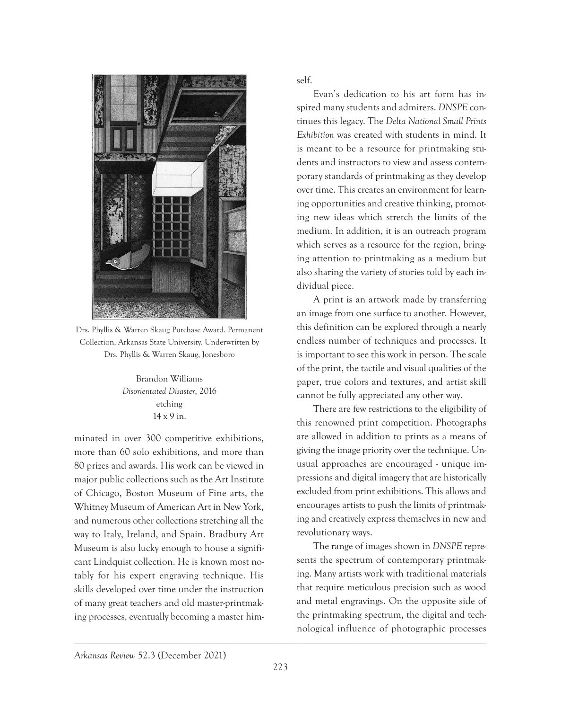

Drs. Phyllis & Warren Skaug Purchase Award. Permanent Collection, Arkansas State University. Underwritten by Drs. Phyllis & Warren Skaug, Jonesboro

Brandon Williams *Disorientated Disaster*, 2016 etching 14 x 9 in.

minated in over 300 competitive exhibitions, more than 60 solo exhibitions, and more than 80 prizes and awards. His work can be viewed in major public collections such as the Art Institute of Chicago, Boston Museum of Fine arts, the Whitney Museum of American Art in New York, and numerous other collections stretching all the way to Italy, Ireland, and Spain. Bradbury Art Museum is also lucky enough to house a significant Lindquist collection. He is known most notably for his expert engraving technique. His skills developed over time under the instruction of many great teachers and old master-printmaking processes, eventually becoming a master himself.

Evan's dedication to his art form has inspired many students and admirers. *DNSPE* continues this legacy. The *Delta National Small Prints Exhibition* was created with students in mind. It is meant to be a resource for printmaking students and instructors to view and assess contemporary standards of printmaking as they develop over time. This creates an environment for learning opportunities and creative thinking, promoting new ideas which stretch the limits of the medium. In addition, it is an outreach program which serves as a resource for the region, bringing attention to printmaking as a medium but also sharing the variety of stories told by each individual piece.

A print is an artwork made by transferring an image from one surface to another. However, this definition can be explored through a nearly endless number of techniques and processes. It is important to see this work in person. The scale of the print, the tactile and visual qualities of the paper, true colors and textures, and artist skill cannot be fully appreciated any other way.

There are few restrictions to the eligibility of this renowned print competition. Photographs are allowed in addition to prints as a means of giving the image priority over the technique. Unusual approaches are encouraged - unique impressions and digital imagery that are historically excluded from print exhibitions. This allows and encourages artists to push the limits of printmaking and creatively express themselves in new and revolutionary ways.

The range of images shown in *DNSPE* represents the spectrum of contemporary printmaking. Many artists work with traditional materials that require meticulous precision such as wood and metal engravings. On the opposite side of the printmaking spectrum, the digital and technological influence of photographic processes

\_\_\_\_\_\_\_\_\_\_\_\_\_\_\_\_\_\_\_\_\_\_\_\_\_\_\_\_\_\_\_\_\_\_\_\_\_\_\_\_\_\_\_\_\_\_\_\_\_\_\_\_\_\_\_\_\_\_\_\_\_\_\_\_\_\_\_\_\_\_\_\_\_\_\_\_\_\_\_\_\_\_\_